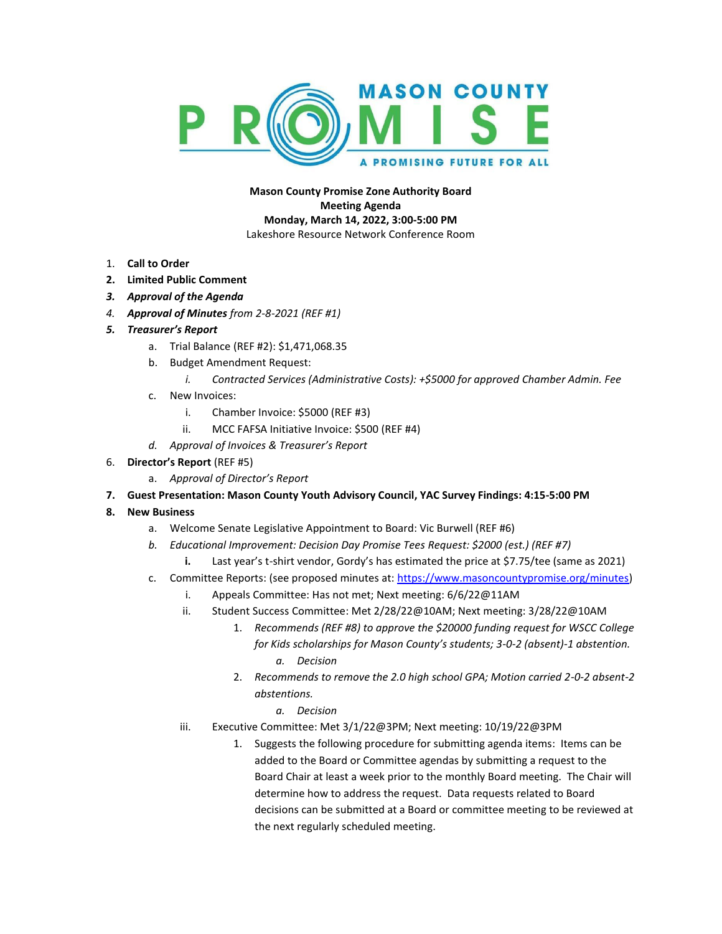

**Mason County Promise Zone Authority Board Meeting Agenda Monday, March 14, 2022, 3:00-5:00 PM** Lakeshore Resource Network Conference Room

- 1. **Call to Order**
- **2. Limited Public Comment**
- *3. Approval of the Agenda*
- *4. Approval of Minutes from 2-8-2021 (REF #1)*
- *5. Treasurer's Report*
	- a. Trial Balance (REF #2): \$1,471,068.35
	- b. Budget Amendment Request:
		- *i. Contracted Services (Administrative Costs): +\$5000 for approved Chamber Admin. Fee*
	- c. New Invoices:
		- i. Chamber Invoice: \$5000 (REF #3)
		- ii. MCC FAFSA Initiative Invoice: \$500 (REF #4)
	- *d. Approval of Invoices & Treasurer's Report*
- 6. **Director's Report** (REF #5)
	- a. *Approval of Director's Report*
- **7. Guest Presentation: Mason County Youth Advisory Council, YAC Survey Findings: 4:15-5:00 PM**
- **8. New Business**
	- a. Welcome Senate Legislative Appointment to Board: Vic Burwell (REF #6)
	- *b. Educational Improvement: Decision Day Promise Tees Request: \$2000 (est.) (REF #7)*
		- **i.** Last year's t-shirt vendor, Gordy's has estimated the price at \$7.75/tee (same as 2021)
	- c. Committee Reports: (see proposed minutes at: [https://www.masoncountypromise.org/minutes\)](https://www.masoncountypromise.org/minutes)
		- i. Appeals Committee: Has not met; Next meeting: 6/6/22@11AM
		- ii. Student Success Committee: Met 2/28/22@10AM; Next meeting: 3/28/22@10AM
			- 1. *Recommends (REF #8) to approve the \$20000 funding request for WSCC College for Kids scholarships for Mason County's students; 3-0-2 (absent)-1 abstention. a. Decision*
			- 2. *Recommends to remove the 2.0 high school GPA; Motion carried 2-0-2 absent-2 abstentions.*
				- *a. Decision*
		- iii. Executive Committee: Met 3/1/22@3PM; Next meeting: 10/19/22@3PM
			- 1. Suggests the following procedure for submitting agenda items: Items can be added to the Board or Committee agendas by submitting a request to the Board Chair at least a week prior to the monthly Board meeting. The Chair will determine how to address the request. Data requests related to Board decisions can be submitted at a Board or committee meeting to be reviewed at the next regularly scheduled meeting.